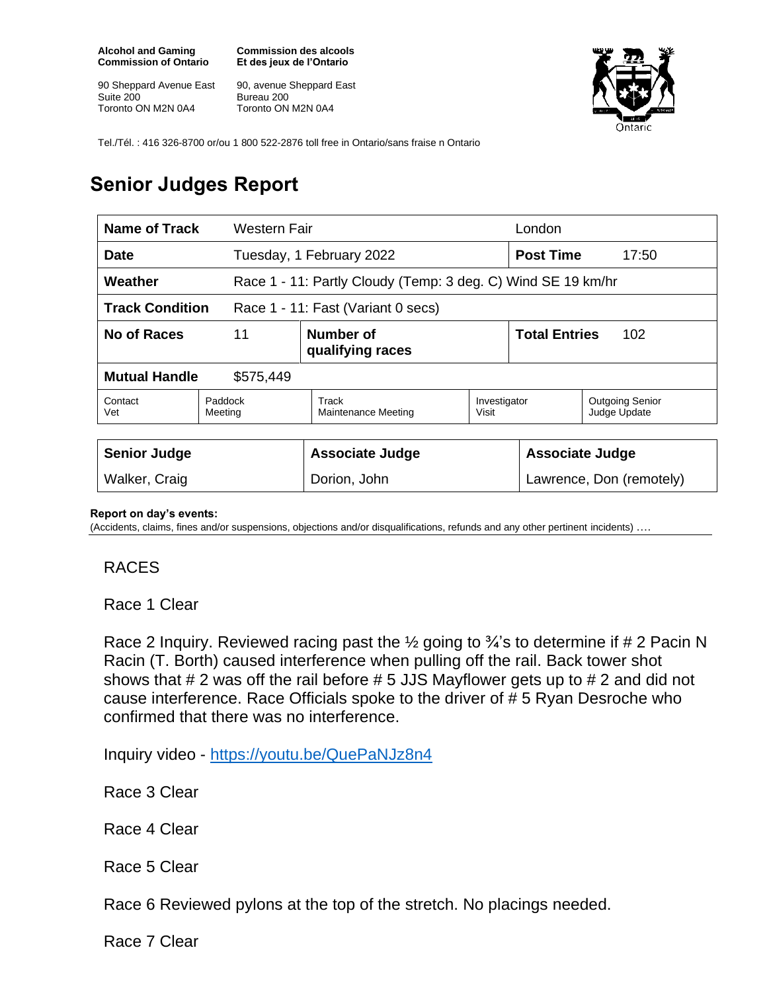**Alcohol and Gaming Commission of Ontario**

90 Sheppard Avenue East Suite 200 Toronto ON M2N 0A4

**Commission des alcools Et des jeux de l'Ontario**

90, avenue Sheppard East Bureau 200 Toronto ON M2N 0A4



Tel./Tél. : 416 326-8700 or/ou 1 800 522-2876 toll free in Ontario/sans fraise n Ontario

## **Senior Judges Report**

| Name of Track<br>Western Fair                                |                                                              |                               |                       | London                      |                                        |
|--------------------------------------------------------------|--------------------------------------------------------------|-------------------------------|-----------------------|-----------------------------|----------------------------------------|
| Date                                                         |                                                              | Tuesday, 1 February 2022      |                       | <b>Post Time</b><br>17:50   |                                        |
| Weather                                                      | Race 1 - 11: Partly Cloudy (Temp: 3 deg. C) Wind SE 19 km/hr |                               |                       |                             |                                        |
| <b>Track Condition</b><br>Race 1 - 11: Fast (Variant 0 secs) |                                                              |                               |                       |                             |                                        |
| No of Races<br>11                                            |                                                              | Number of<br>qualifying races |                       | <b>Total Entries</b><br>102 |                                        |
| <b>Mutual Handle</b><br>\$575,449                            |                                                              |                               |                       |                             |                                        |
| Contact<br>Vet                                               | Track<br>Paddock<br>Maintenance Meeting<br>Meeting           |                               | Investigator<br>Visit |                             | <b>Outgoing Senior</b><br>Judge Update |
|                                                              |                                                              |                               |                       |                             |                                        |
| <b>Senior Judge</b>                                          |                                                              | Associate Judge               |                       | <b>Associate Judge</b>      |                                        |
| Walker, Craig                                                |                                                              | Dorion, John                  |                       | Lawrence, Don (remotely)    |                                        |

## **Report on day's events:**

(Accidents, claims, fines and/or suspensions, objections and/or disqualifications, refunds and any other pertinent incidents) ….

## RACES

Race 1 Clear

Race 2 Inquiry. Reviewed racing past the  $\frac{1}{2}$  going to  $\frac{3}{4}$ 's to determine if # 2 Pacin N Racin (T. Borth) caused interference when pulling off the rail. Back tower shot shows that # 2 was off the rail before # 5 JJS Mayflower gets up to # 2 and did not cause interference. Race Officials spoke to the driver of # 5 Ryan Desroche who confirmed that there was no interference.

Inquiry video - <https://youtu.be/QuePaNJz8n4>

Race 3 Clear

Race 4 Clear

Race 5 Clear

Race 6 Reviewed pylons at the top of the stretch. No placings needed.

Race 7 Clear